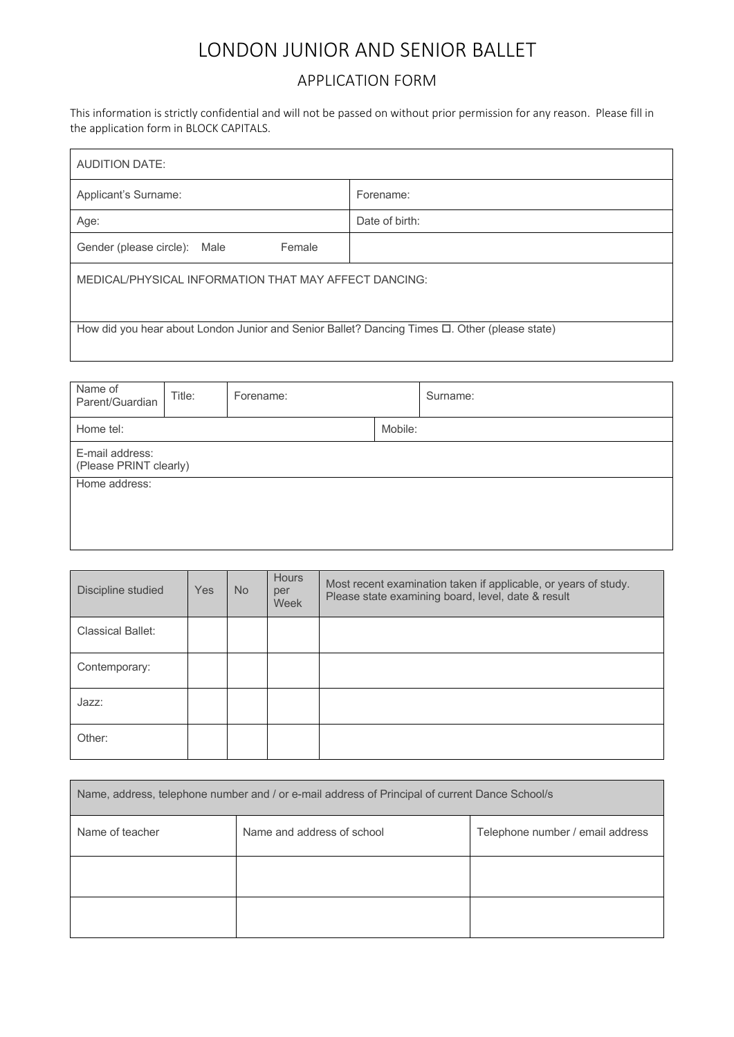# LONDON JUNIOR AND SENIOR BALLET

## APPLICATION FORM

This information is strictly confidential and will not be passed on without prior permission for any reason. Please fill in the application form in BLOCK CAPITALS.

| <b>AUDITION DATE:</b>                                                                               |                |  |  |  |  |
|-----------------------------------------------------------------------------------------------------|----------------|--|--|--|--|
| Applicant's Surname:                                                                                | Forename:      |  |  |  |  |
| Age:                                                                                                | Date of birth: |  |  |  |  |
| Female<br>Gender (please circle): Male                                                              |                |  |  |  |  |
| MEDICAL/PHYSICAL INFORMATION THAT MAY AFFECT DANCING:                                               |                |  |  |  |  |
| How did you hear about London Junior and Senior Ballet? Dancing Times $\Box$ . Other (please state) |                |  |  |  |  |

| Name of<br>Parent/Guardian                | Title: | Forename: |  | Surname: |
|-------------------------------------------|--------|-----------|--|----------|
| Home tel:                                 |        | Mobile:   |  |          |
| E-mail address:<br>(Please PRINT clearly) |        |           |  |          |
| Home address:                             |        |           |  |          |
|                                           |        |           |  |          |
|                                           |        |           |  |          |

| Discipline studied       | <b>Yes</b> | <b>No</b> | <b>Hours</b><br>per<br>Week | Most recent examination taken if applicable, or years of study.<br>Please state examining board, level, date & result |
|--------------------------|------------|-----------|-----------------------------|-----------------------------------------------------------------------------------------------------------------------|
| <b>Classical Ballet:</b> |            |           |                             |                                                                                                                       |
| Contemporary:            |            |           |                             |                                                                                                                       |
| Jazz:                    |            |           |                             |                                                                                                                       |
| Other:                   |            |           |                             |                                                                                                                       |

| Name, address, telephone number and / or e-mail address of Principal of current Dance School/s |                            |                                  |  |  |
|------------------------------------------------------------------------------------------------|----------------------------|----------------------------------|--|--|
| Name of teacher                                                                                | Name and address of school | Telephone number / email address |  |  |
|                                                                                                |                            |                                  |  |  |
|                                                                                                |                            |                                  |  |  |